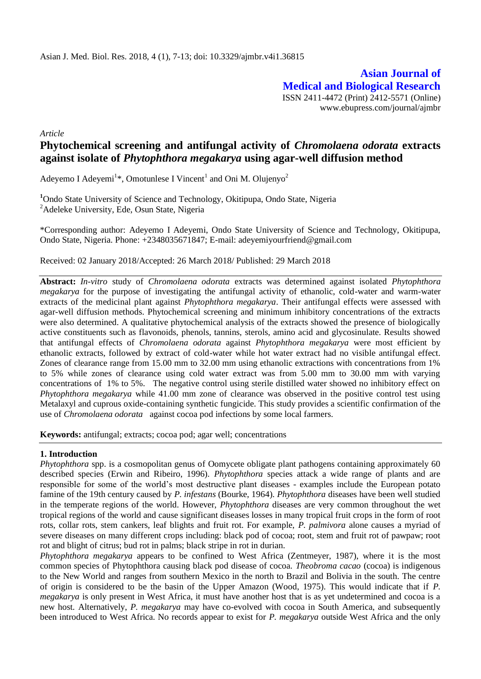**Asian Journal of Medical and Biological Research** ISSN 2411-4472 (Print) 2412-5571 (Online) www.ebupress.com/journal/ajmbr

*Article*

# **Phytochemical screening and antifungal activity of** *Chromolaena odorata* **extracts against isolate of** *Phytophthora megakarya* **using agar-well diffusion method**

Adeyemo I Adeyemi<sup>1</sup>\*, Omotunlese I Vincent<sup>1</sup> and Oni M. Olujenyo<sup>2</sup>

**<sup>1</sup>**Ondo State University of Science and Technology, Okitipupa, Ondo State, Nigeria <sup>2</sup> Adeleke University, Ede, Osun State, Nigeria

\*Corresponding author: Adeyemo I Adeyemi, Ondo State University of Science and Technology, Okitipupa, Ondo State, Nigeria. Phone: +2348035671847; E-mail: [adeyemiyourfriend@gmail.com](mailto:adeyemiyourfriend@gmail.com)

Received: 02 January 2018/Accepted: 26 March 2018/ Published: 29 March 2018

**Abstract:** *In-vitro* study of *Chromolaena odorata* extracts was determined against isolated *Phytophthora megakarya* for the purpose of investigating the antifungal activity of ethanolic, cold-water and warm-water extracts of the medicinal plant against *Phytophthora megakarya*. Their antifungal effects were assessed with agar-well diffusion methods. Phytochemical screening and minimum inhibitory concentrations of the extracts were also determined. A qualitative phytochemical analysis of the extracts showed the presence of biologically active constituents such as flavonoids, phenols, tannins, sterols, amino acid and glycosinulate. Results showed that antifungal effects of *Chromolaena odorata* against *Phytophthora megakarya* were most efficient by ethanolic extracts, followed by extract of cold-water while hot water extract had no visible antifungal effect. Zones of clearance range from 15.00 mm to 32.00 mm using ethanolic extractions with concentrations from 1% to 5% while zones of clearance using cold water extract was from 5.00 mm to 30.00 mm with varying concentrations of 1% to 5%. The negative control using sterile distilled water showed no inhibitory effect on *Phytophthora megakarya* while 41.00 mm zone of clearance was observed in the positive control test using Metalaxyl and cuprous oxide-containing synthetic fungicide. This study provides a scientific confirmation of the use of *Chromolaena odorata* against cocoa pod infections by some local farmers.

**Keywords:** antifungal; extracts; cocoa pod; agar well; concentrations

# **1. Introduction**

*Phytophthora* spp. is a cosmopolitan genus of Oomycete obligate plant pathogens containing approximately 60 described species (Erwin and Ribeiro, 1996). *Phytophthora* species attack a wide range of plants and are responsible for some of the world's most destructive plant diseases - examples include the European potato famine of the 19th century caused by *P. infestans* (Bourke, 1964). *Phytophthora* diseases have been well studied in the temperate regions of the world. However, *Phytophthora* diseases are very common throughout the wet tropical regions of the world and cause significant diseases losses in many tropical fruit crops in the form of root rots, collar rots, stem cankers, leaf blights and fruit rot. For example, *P. palmivora* alone causes a myriad of severe diseases on many different crops including: black pod of cocoa; root, stem and fruit rot of pawpaw; root rot and blight of citrus; bud rot in palms; black stripe in rot in durian.

*Phytophthora megakarya* appears to be confined to West Africa (Zentmeyer, 1987), where it is the most common species of Phytophthora causing black pod disease of cocoa. *Theobroma cacao* (cocoa) is indigenous to the New World and ranges from southern Mexico in the north to Brazil and Bolivia in the south. The centre of origin is considered to be the basin of the Upper Amazon (Wood, 1975). This would indicate that if *P. megakarya* is only present in West Africa, it must have another host that is as yet undetermined and cocoa is a new host. Alternatively, *P. megakarya* may have co-evolved with cocoa in South America, and subsequently been introduced to West Africa. No records appear to exist for *P. megakarya* outside West Africa and the only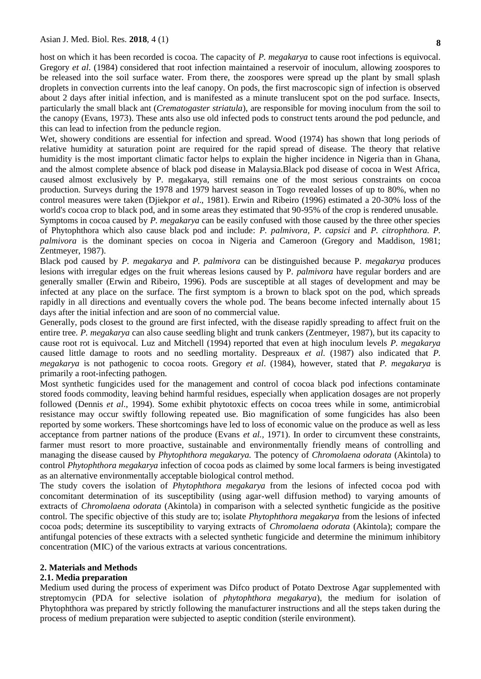host on which it has been recorded is cocoa. The capacity of *P. megakarya* to cause root infections is equivocal. Gregory *et al*. (1984) considered that root infection maintained a reservoir of inoculum, allowing zoospores to be released into the soil surface water. From there, the zoospores were spread up the plant by small splash droplets in convection currents into the leaf canopy. On pods, the first macroscopic sign of infection is observed about 2 days after initial infection, and is manifested as a minute translucent spot on the pod surface. Insects, particularly the small black ant *(Crematogaster striatula)*, are responsible for moving inoculum from the soil to the canopy (Evans, 1973). These ants also use old infected pods to construct tents around the pod peduncle, and this can lead to infection from the peduncle region.

Wet, showery conditions are essential for infection and spread. Wood (1974) has shown that long periods of relative humidity at saturation point are required for the rapid spread of disease. The theory that relative humidity is the most important climatic factor helps to explain the higher incidence in Nigeria than in Ghana, and the almost complete absence of black pod disease in Malaysia.Black pod disease of cocoa in West Africa, caused almost exclusively by P. megakarya, still remains one of the most serious constraints on cocoa production. Surveys during the 1978 and 1979 harvest season in Togo revealed losses of up to 80%, when no control measures were taken (Djiekpor *et al*., 1981). Erwin and Ribeiro (1996) estimated a 20-30% loss of the world's cocoa crop to black pod, and in some areas they estimated that 90-95% of the crop is rendered unusable. Symptoms in cocoa caused by *P. megakarya* can be easily confused with those caused by the three other species of Phytophthora which also cause black pod and include: *P. palmivora, P*. *capsici* and *P. citrophthora. P. palmivora* is the dominant species on cocoa in Nigeria and Cameroon (Gregory and Maddison, 1981; Zentmeyer, 1987).

Black pod caused by *P. megakarya* and *P. palmivora* can be distinguished because P. *megakarya* produces lesions with irregular edges on the fruit whereas lesions caused by P. *palmivora* have regular borders and are generally smaller (Erwin and Ribeiro, 1996). Pods are susceptible at all stages of development and may be infected at any place on the surface. The first symptom is a brown to black spot on the pod, which spreads rapidly in all directions and eventually covers the whole pod. The beans become infected internally about 15 days after the initial infection and are soon of no commercial value.

Generally, pods closest to the ground are first infected, with the disease rapidly spreading to affect fruit on the entire tree. *P. megakarya* can also cause seedling blight and trunk cankers (Zentmeyer, 1987), but its capacity to cause root rot is equivocal. Luz and Mitchell (1994) reported that even at high inoculum levels *P. megakarya* caused little damage to roots and no seedling mortality. Despreaux *et al*. (1987) also indicated that *P. megakarya* is not pathogenic to cocoa roots. Gregory *et al*. (1984), however, stated that *P. megakarya* is primarily a root-infecting pathogen.

Most synthetic fungicides used for the management and control of cocoa black pod infections contaminate stored foods commodity, leaving behind harmful residues, especially when application dosages are not properly followed (Dennis *et al*., 1994). Some exhibit phytotoxic effects on cocoa trees while in some, antimicrobial resistance may occur swiftly following repeated use. Bio magnification of some fungicides has also been reported by some workers. These shortcomings have led to loss of economic value on the produce as well as less acceptance from partner nations of the produce (Evans *et al.,* 1971). In order to circumvent these constraints, farmer must resort to more proactive, sustainable and environmentally friendly means of controlling and managing the disease caused by *Phytophthora megakarya.* The potency of *Chromolaena odorata* (Akintola) to control *Phytophthora megakarya* infection of cocoa pods as claimed by some local farmers is being investigated as an alternative environmentally acceptable biological control method.

The study covers the isolation of *Phytophthora megakarya* from the lesions of infected cocoa pod with concomitant determination of its susceptibility (using agar-well diffusion method) to varying amounts of extracts of *Chromolaena odorata* (Akintola) in comparison with a selected synthetic fungicide as the positive control. The specific objective of this study are to; isolate *Phytophthora megakarya* from the lesions of infected cocoa pods; determine its susceptibility to varying extracts of *Chromolaena odorata* (Akintola); compare the antifungal potencies of these extracts with a selected synthetic fungicide and determine the minimum inhibitory concentration (MIC) of the various extracts at various concentrations.

#### **2. Materials and Methods**

# **2.1. Media preparation**

Medium used during the process of experiment was Difco product of Potato Dextrose Agar supplemented with streptomycin (PDA for selective isolation of *phytophthora megakarya*), the medium for isolation of Phytophthora was prepared by strictly following the manufacturer instructions and all the steps taken during the process of medium preparation were subjected to aseptic condition (sterile environment).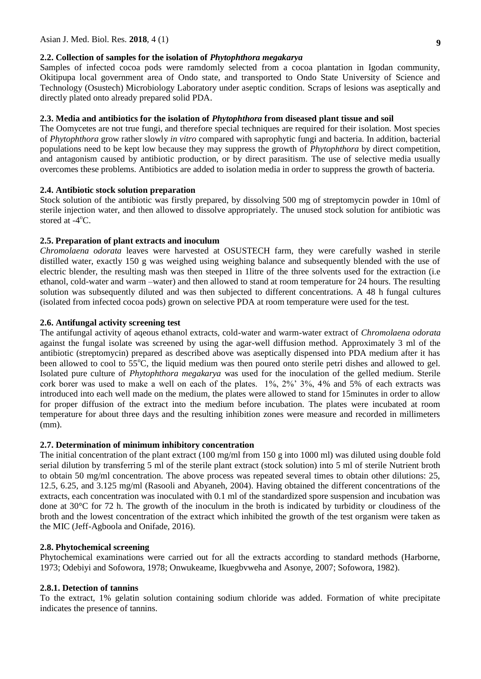## **2.2. Collection of samples for the isolation of** *Phytophthora megakarya*

Samples of infected cocoa pods were ramdomly selected from a cocoa plantation in Igodan community, Okitipupa local government area of Ondo state, and transported to Ondo State University of Science and Technology (Osustech) Microbiology Laboratory under aseptic condition. Scraps of lesions was aseptically and directly plated onto already prepared solid PDA.

### **2.3. Media and antibiotics for the isolation of** *Phytophthora* **from diseased plant tissue and soil**

The Oomycetes are not true fungi, and therefore special techniques are required for their isolation. Most species of *Phytophthora* grow rather slowly *in vitro* compared with saprophytic fungi and bacteria. In addition, bacterial populations need to be kept low because they may suppress the growth of *Phytophthora* by direct competition, and antagonism caused by antibiotic production, or by direct parasitism. The use of selective media usually overcomes these problems. Antibiotics are added to isolation media in order to suppress the growth of bacteria.

### **2.4. Antibiotic stock solution preparation**

Stock solution of the antibiotic was firstly prepared, by dissolving 500 mg of streptomycin powder in 10ml of sterile injection water, and then allowed to dissolve appropriately. The unused stock solution for antibiotic was stored at  $-4^{\circ}$ C.

#### **2.5. Preparation of plant extracts and inoculum**

*Chromolaena odorata* leaves were harvested at OSUSTECH farm, they were carefully washed in sterile distilled water, exactly 150 g was weighed using weighing balance and subsequently blended with the use of electric blender, the resulting mash was then steeped in 1litre of the three solvents used for the extraction (i.e ethanol, cold-water and warm –water) and then allowed to stand at room temperature for 24 hours. The resulting solution was subsequently diluted and was then subjected to different concentrations. A 48 h fungal cultures (isolated from infected cocoa pods) grown on selective PDA at room temperature were used for the test.

# **2.6. Antifungal activity screening test**

The antifungal activity of aqeous ethanol extracts, cold-water and warm-water extract of *Chromolaena odorata* against the fungal isolate was screened by using the agar-well diffusion method. Approximately 3 ml of the antibiotic (streptomycin) prepared as described above was aseptically dispensed into PDA medium after it has been allowed to cool to 55<sup>o</sup>C, the liquid medium was then poured onto sterile petri dishes and allowed to gel. Isolated pure culture of *Phytophthora megakarya* was used for the inoculation of the gelled medium. Sterile cork borer was used to make a well on each of the plates. 1%, 2%' 3%, 4% and 5% of each extracts was introduced into each well made on the medium, the plates were allowed to stand for 15minutes in order to allow for proper diffusion of the extract into the medium before incubation. The plates were incubated at room temperature for about three days and the resulting inhibition zones were measure and recorded in millimeters (mm).

### **2.7. Determination of minimum inhibitory concentration**

The initial concentration of the plant extract (100 mg/ml from 150 g into 1000 ml) was diluted using double fold serial dilution by transferring 5 ml of the sterile plant extract (stock solution) into 5 ml of sterile Nutrient broth to obtain 50 mg/ml concentration. The above process was repeated several times to obtain other dilutions: 25, 12.5, 6.25, and 3.125 mg/ml (Rasooli and Abyaneh, 2004). Having obtained the different concentrations of the extracts, each concentration was inoculated with 0.1 ml of the standardized spore suspension and incubation was done at 30°C for 72 h. The growth of the inoculum in the broth is indicated by turbidity or cloudiness of the broth and the lowest concentration of the extract which inhibited the growth of the test organism were taken as the MIC (Jeff-Agboola and Onifade, 2016).

#### **2.8. Phytochemical screening**

Phytochemical examinations were carried out for all the extracts according to standard methods (Harborne, 1973; Odebiyi and Sofowora, 1978; Onwukeame, Ikuegbvweha and Asonye, 2007; Sofowora, 1982).

#### **2.8.1. Detection of tannins**

To the extract, 1% gelatin solution containing sodium chloride was added. Formation of white precipitate indicates the presence of tannins.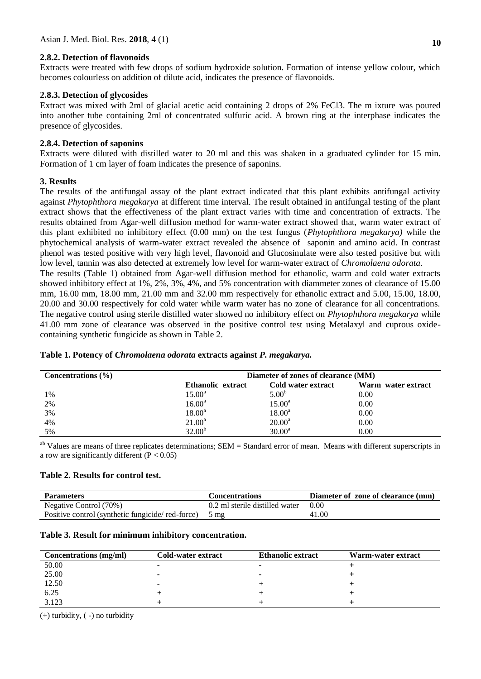# **2.8.2. Detection of flavonoids**

Extracts were treated with few drops of sodium hydroxide solution. Formation of intense yellow colour, which becomes colourless on addition of dilute acid, indicates the presence of flavonoids.

## **2.8.3. Detection of glycosides**

Extract was mixed with 2ml of glacial acetic acid containing 2 drops of 2% FeCl3. The m ixture was poured into another tube containing 2ml of concentrated sulfuric acid. A brown ring at the interphase indicates the presence of glycosides.

## **2.8.4. Detection of saponins**

Extracts were diluted with distilled water to 20 ml and this was shaken in a graduated cylinder for 15 min. Formation of 1 cm layer of foam indicates the presence of saponins.

### **3. Results**

The results of the antifungal assay of the plant extract indicated that this plant exhibits antifungal activity against *Phytophthora megakarya* at different time interval. The result obtained in antifungal testing of the plant extract shows that the effectiveness of the plant extract varies with time and concentration of extracts. The results obtained from Agar-well diffusion method for warm-water extract showed that, warm water extract of this plant exhibited no inhibitory effect (0.00 mm) on the test fungus (*Phytophthora megakarya)* while the phytochemical analysis of warm-water extract revealed the absence of saponin and amino acid. In contrast phenol was tested positive with very high level, flavonoid and Glucosinulate were also tested positive but with low level, tannin was also detected at extremely low level for warm-water extract of *Chromolaena odorata*.

The results (Table 1) obtained from Agar-well diffusion method for ethanolic, warm and cold water extracts showed inhibitory effect at 1%, 2%, 3%, 4%, and 5% concentration with diammeter zones of clearance of 15.00 mm, 16.00 mm, 18.00 mm, 21.00 mm and 32.00 mm respectively for ethanolic extract and 5.00, 15.00, 18.00, 20.00 and 30.00 respectively for cold water while warm water has no zone of clearance for all concentrations. The negative control using sterile distilled water showed no inhibitory effect on *Phytophthora megakarya* while 41.00 mm zone of clearance was observed in the positive control test using Metalaxyl and cuprous oxidecontaining synthetic fungicide as shown in Table 2.

| Concentrations $(\% )$ | Diameter of zones of clearance (MM) |                    |                    |
|------------------------|-------------------------------------|--------------------|--------------------|
|                        | Ethanolic extract                   | Cold water extract | Warm water extract |
| 1%                     | $15.00^{\circ}$                     | 5.00 <sup>b</sup>  | 0.00               |
| 2%                     | $16.00^a$                           | $15.00^a$          | 0.00               |
| 3%                     | $18.00^a$                           | 18.00 <sup>a</sup> | 0.00               |
| 4%                     | $21.00^a$                           | $20.00^a$          | 0.00               |
| 5%                     | $32.00^{b}$                         | $30.00^a$          | 0.00               |

### **Table 1. Potency of** *Chromolaena odorata* **extracts against** *P. megakarya.*

<sup>ab</sup> Values are means of three replicates determinations; SEM = Standard error of mean. Means with different superscripts in a row are significantly different  $(P < 0.05)$ 

### **Table 2. Results for control test.**

| <b>Parameters</b>                                | <b>Concentrations</b>          | Diameter of zone of clearance (mm) |
|--------------------------------------------------|--------------------------------|------------------------------------|
| Negative Control (70%)                           | 0.2 ml sterile distilled water | 0.00                               |
| Positive control (synthetic fungicide/red-force) | $5 \text{ mg}$                 | 41.00                              |

### **Table 3. Result for minimum inhibitory concentration.**

| <b>Concentrations</b> (mg/ml) | Cold-water extract | <b>Ethanolic extract</b> | Warm-water extract |
|-------------------------------|--------------------|--------------------------|--------------------|
| 50.00                         |                    |                          |                    |
| 25.00                         |                    |                          |                    |
| 12.50                         |                    |                          |                    |
| 6.25                          |                    |                          |                    |
| 3.123                         |                    |                          |                    |

 $(+)$  turbidity,  $(-)$  no turbidity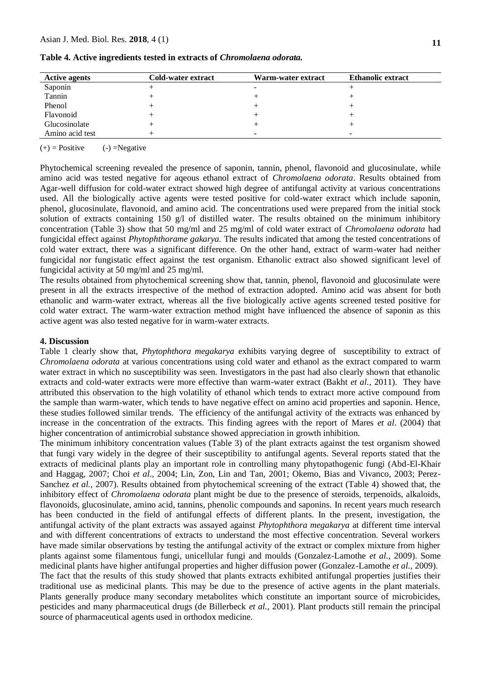| <b>Active agents</b> | Cold-water extract | Warm-water extract | <b>Ethanolic extract</b> |
|----------------------|--------------------|--------------------|--------------------------|
| Saponin              |                    |                    |                          |
| Tannin               |                    |                    |                          |
| Phenol               |                    |                    |                          |
| Flavonoid            |                    |                    |                          |
| Glucosinolate        |                    |                    |                          |
| Amino acid test      |                    |                    |                          |

**Table 4. Active ingredients tested in extracts of** *Chromolaena odorata.*

 $(+)$  = Positive (-) = Negative

Phytochemical screening revealed the presence of saponin, tannin, phenol, flavonoid and glucosinulate, while amino acid was tested negative for aqeous ethanol extract of *Chromolaena odorata*. Results obtained from Agar-well diffusion for cold-water extract showed high degree of antifungal activity at various concentrations used. All the biologically active agents were tested positive for cold-water extract which include saponin, phenol, glucosinulate, flavonoid, and amino acid. The concentrations used were prepared from the initial stock solution of extracts containing 150  $\alpha$  of distilled water. The results obtained on the minimum inhibitory concentration (Table 3) show that 50 mg/ml and 25 mg/ml of cold water extract of *Chromolaena odorata* had fungicidal effect against *Phytophthorame gakarya.* The results indicated that among the tested concentrations of cold water extract, there was a significant difference. On the other hand, extract of warm-water had neither fungicidal nor fungistatic effect against the test organism. Ethanolic extract also showed significant level of fungicidal activity at 50 mg/ml and 25 mg/ml.

The results obtained from phytochemical screening show that, tannin, phenol, flavonoid and glucosinulate were present in all the extracts irrespective of the method of extraction adopted. Amino acid was absent for both ethanolic and warm-water extract, whereas all the five biologically active agents screened tested positive for cold water extract. The warm-water extraction method might have influenced the absence of saponin as this active agent was also tested negative for in warm-water extracts.

### **4. Discussion**

Table 1 clearly show that, *Phytophthora megakarya* exhibits varying degree of susceptibility to extract of *Chromolaena odorata* at various concentrations using cold water and ethanol as the extract compared to warm water extract in which no susceptibility was seen. Investigators in the past had also clearly shown that ethanolic extracts and cold-water extracts were more effective than warm-water extract (Bakht *et al.,* 2011). They have attributed this observation to the high volatility of ethanol which tends to extract more active compound from the sample than warm-water, which tends to have negative effect on amino acid properties and saponin. Hence, these studies followed similar trends. The efficiency of the antifungal activity of the extracts was enhanced by increase in the concentration of the extracts. This finding agrees with the report of Mares *et al*. (2004) that higher concentration of antimicrobial substance showed appreciation in growth inhibition.

The minimum inhibitory concentration values (Table 3) of the plant extracts against the test organism showed that fungi vary widely in the degree of their susceptibility to antifungal agents. Several reports stated that the extracts of medicinal plants play an important role in controlling many phytopathogenic fungi (Abd-El-Khair and Haggag, 2007; Choi *et al*., 2004; Lin, Zon, Lin and Tan, 2001; Okemo, Bias and Vivanco, 2003; Perez-Sanchez *et al.,* 2007). Results obtained from phytochemical screening of the extract (Table 4) showed that, the inhibitory effect of *Chromolaena odorata* plant might be due to the presence of steroids, terpenoids, alkaloids, flavonoids, glucosinulate, amino acid, tannins, phenolic compounds and saponins. In recent years much research has been conducted in the field of antifungal effects of different plants. In the present, investigation, the antifungal activity of the plant extracts was assayed against *Phytophthora megakarya* at different time interval and with different concentrations of extracts to understand the most effective concentration. Several workers have made similar observations by testing the antifungal activity of the extract or complex mixture from higher plants against some filamentous fungi, unicellular fungi and moulds (Gonzalez-Lamothe *et al.,* 2009). Some medicinal plants have higher antifungal properties and higher diffusion power (Gonzalez-Lamothe *et al.,* 2009). The fact that the results of this study showed that plants extracts exhibited antifungal properties justifies their traditional use as medicinal plants. This may be due to the presence of active agents in the plant materials. Plants generally produce many secondary metabolites which constitute an important source of microbicides, pesticides and many pharmaceutical drugs (de Billerbeck *et al.,* 2001). Plant products still remain the principal source of pharmaceutical agents used in orthodox medicine.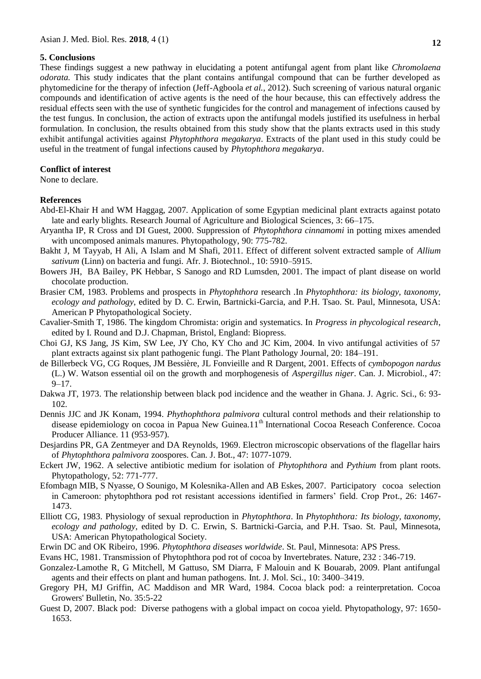### **5. Conclusions**

These findings suggest a new pathway in elucidating a potent antifungal agent from plant like *Chromolaena odorata.* This study indicates that the plant contains antifungal compound that can be further developed as phytomedicine for the therapy of infection (Jeff-Agboola *et al.,* 2012). Such screening of various natural organic compounds and identification of active agents is the need of the hour because, this can effectively address the residual effects seen with the use of synthetic fungicides for the control and management of infections caused by the test fungus. In conclusion, the action of extracts upon the antifungal models justified its usefulness in herbal formulation. In conclusion, the results obtained from this study show that the plants extracts used in this study exhibit antifungal activities against *Phytophthora megakarya*. Extracts of the plant used in this study could be useful in the treatment of fungal infections caused by *Phytophthora megakarya*.

#### **Conflict of interest**

None to declare.

### **References**

- Abd-El-Khair H and WM Haggag, 2007. Application of some Egyptian medicinal plant extracts against potato late and early blights. Research Journal of Agriculture and Biological Sciences*,* 3: 66–175.
- Aryantha IP, R Cross and DI Guest, 2000. Suppression of *Phytophthora cinnamomi* in potting mixes amended with uncomposed animals manures. Phytopathology, 90: 775-782.
- Bakht J, M Tayyab, H Ali, A Islam and M Shafi, 2011. Effect of different solvent extracted sample of *Allium sativum* (Linn) on bacteria and fungi. Afr. J. Biotechnol., 10: 5910–5915.
- Bowers JH, BA Bailey, PK Hebbar, S Sanogo and RD Lumsden, 2001. The impact of plant disease on world chocolate production.
- Brasier CM, 1983. Problems and prospects in *Phytophthora* research .In *Phytophthora: its biology, taxonomy, ecology and pathology*, edited by D. C. Erwin, Bartnicki-Garcia, and P.H. Tsao. St. Paul, Minnesota, USA: American P Phytopathological Society.
- Cavalier-Smith T, 1986. The kingdom Chromista: origin and systematics. In *Progress in phycological research*, edited by I. Round and D.J. Chapman, Bristol, England: Biopress.
- Choi GJ, KS Jang, JS Kim, SW Lee, JY Cho, KY Cho and JC Kim, 2004. In vivo antifungal activities of 57 plant extracts against six plant pathogenic fungi. The Plant Pathology Journal*,* 20: 184–191.
- de Billerbeck VG, CG Roques, JM Bessière, JL Fonvieille and R Dargent, 2001. Effects of *cymbopogon nardus*  (L.) W. Watson essential oil on the growth and morphogenesis of *Aspergillus niger*. Can. J. Microbiol.*,* 47: 9–17.
- Dakwa JT, 1973. The relationship between black pod incidence and the weather in Ghana. J. Agric. Sci., 6: 93- 102.
- Dennis JJC and JK Konam, 1994. *Phythophthora palmivora* cultural control methods and their relationship to disease epidemiology on cocoa in Papua New Guinea.11<sup>th</sup> International Cocoa Reseach Conference. Cocoa Producer Alliance. 11 (953-957).
- Desjardins PR, GA Zentmeyer and DA Reynolds, 1969. Electron microscopic observations of the flagellar hairs of *Phytophthora palmivora* zoospores. Can. J. Bot., 47: 1077-1079.
- Eckert JW, 1962. A selective antibiotic medium for isolation of *Phytophthora* and *Pythium* from plant roots. Phytopathology, 52: 771-777.
- Efombagn MIB, S Nyasse, O Sounigo, M Kolesnika-Allen and AB Eskes, 2007. Participatory cocoa selection in Cameroon: phytophthora pod rot resistant accessions identified in farmers' field. Crop Prot., 26: 1467- 1473.
- Elliott CG, 1983. Physiology of sexual reproduction in *Phytophthora*. In *Phytophthora: Its biology, taxonomy, ecology and pathology*, edited by D. C. Erwin, S. Bartnicki-Garcia, and P.H. Tsao. St. Paul, Minnesota, USA: American Phytopathological Society.
- Erwin DC and OK Ribeiro, 1996. *Phytophthora diseases worldwide*. St. Paul, Minnesota: APS Press.
- Evans HC, 1981. Transmission of Phytophthora pod rot of cocoa by Invertebrates. Nature, 232 : 346-719.
- Gonzalez-Lamothe R, G Mitchell, M Gattuso, SM Diarra, F Malouin and K Bouarab, 2009. Plant antifungal agents and their effects on plant and human pathogens. Int. J. Mol. Sci., 10: 3400–3419.
- [Gregory PH, MJ Griffin, AC Maddison and MR Ward, 1984. Cocoa black pod: a reinterpretation. Cocoa](http://www.cabi.org/isc/abstract/19840324456)  [Growers' Bulletin, No. 35:5-22](http://www.cabi.org/isc/abstract/19840324456)
- Guest D, 2007. Black pod: Diverse pathogens with a global impact on cocoa yield. Phytopathology, 97: 1650- 1653.